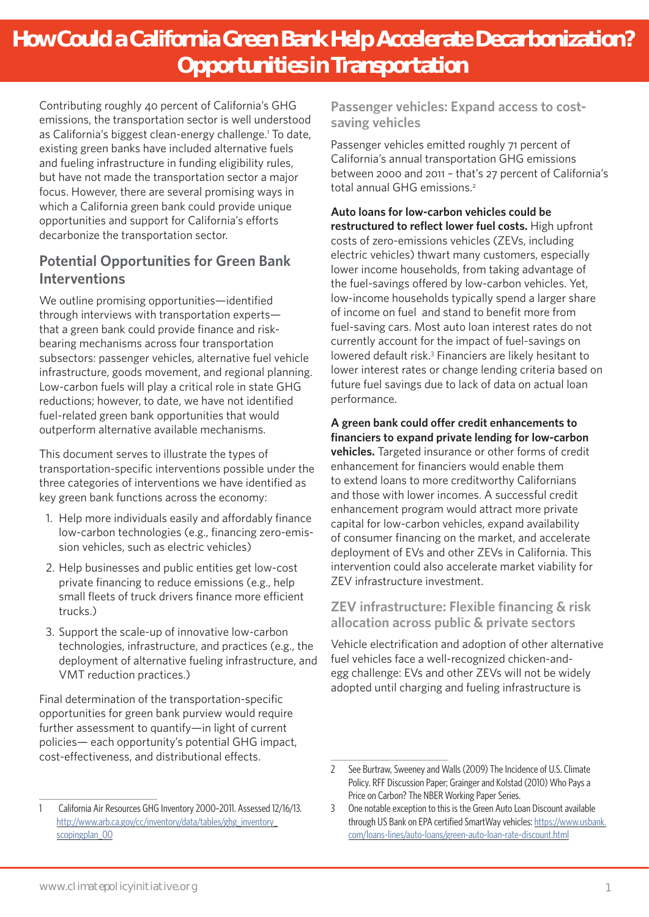# **How Could a California Green Bank Help Accelerate Decarbonization? Opportunities in Transportation**

Contributing roughly 40 percent of California's GHG emissions, the transportation sector is well understood as California's biggest clean-energy challenge.<sup>1</sup> To date, existing green banks have included alternative fuels and fueling infrastructure in funding eligibility rules, but have not made the transportation sector a major focus. However, there are several promising ways in which a California green bank could provide unique opportunities and support for California's efforts decarbonize the transportation sector.

## **Potential Opportunities for Green Bank Interventions**

We outline promising opportunities—identified through interviews with transportation experts that a green bank could provide finance and riskbearing mechanisms across four transportation subsectors: passenger vehicles, alternative fuel vehicle infrastructure, goods movement, and regional planning. Low-carbon fuels will play a critical role in state GHG reductions; however, to date, we have not identified fuel-related green bank opportunities that would outperform alternative available mechanisms.

This document serves to illustrate the types of transportation-specific interventions possible under the three categories of interventions we have identified as key green bank functions across the economy:

- 1. Help more individuals easily and affordably finance low-carbon technologies (e.g., financing zero-emission vehicles, such as electric vehicles)
- 2. Help businesses and public entities get low-cost private financing to reduce emissions (e.g., help small fleets of truck drivers finance more efficient trucks.)
- 3. Support the scale-up of innovative low-carbon technologies, infrastructure, and practices (e.g., the deployment of alternative fueling infrastructure, and VMT reduction practices.)

Final determination of the transportation-specific opportunities for green bank purview would require further assessment to quantify—in light of current policies— each opportunity's potential GHG impact, cost-effectiveness, and distributional effects.

**Passenger vehicles: Expand access to costsaving vehicles**

Passenger vehicles emitted roughly 71 percent of California's annual transportation GHG emissions between 2000 and 2011 – that's 27 percent of California's total annual GHG emissions<sup>2</sup>

**Auto loans for low-carbon vehicles could be restructured to reflect lower fuel costs.** High upfront costs of zero-emissions vehicles (ZEVs, including electric vehicles) thwart many customers, especially lower income households, from taking advantage of the fuel-savings offered by low-carbon vehicles. Yet, low-income households typically spend a larger share of income on fuel and stand to benefit more from fuel-saving cars. Most auto loan interest rates do not currently account for the impact of fuel-savings on lowered default risk.3 Financiers are likely hesitant to lower interest rates or change lending criteria based on future fuel savings due to lack of data on actual loan performance.

**A green bank could offer credit enhancements to financiers to expand private lending for low-carbon vehicles.** Targeted insurance or other forms of credit enhancement for financiers would enable them to extend loans to more creditworthy Californians and those with lower incomes. A successful credit enhancement program would attract more private capital for low-carbon vehicles, expand availability of consumer financing on the market, and accelerate deployment of EVs and other ZEVs in California. This intervention could also accelerate market viability for ZEV infrastructure investment.

#### **ZEV infrastructure: Flexible financing & risk allocation across public & private sectors**

Vehicle electrification and adoption of other alternative fuel vehicles face a well-recognized chicken-andegg challenge: EVs and other ZEVs will not be widely adopted until charging and fueling infrastructure is

<sup>1</sup> California Air Resources GHG Inventory 2000–2011. Assessed 12/16/13. http://www.arb.ca.gov/cc/inventory/data/tables/ghg\_inventory [scopingplan\\_00](http://www.arb.ca.gov/cc/inventory/data/tables/ghg_inventory_scopingplan_00)

<sup>2</sup> See Burtraw, Sweeney and Walls (2009) The Incidence of U.S. Climate Policy. RFF Discussion Paper; Grainger and Kolstad (2010) Who Pays a Price on Carbon? The NBER Working Paper Series.

<sup>3</sup> One notable exception to this is the Green Auto Loan Discount available through US Bank on EPA certified SmartWay vehicles: [https://www.usbank.](https://www.usbank.com/loans-lines/auto-loans/green-auto-loan-rate-discount.html) [com/loans-lines/auto-loans/green-auto-loan-rate-discount.html](https://www.usbank.com/loans-lines/auto-loans/green-auto-loan-rate-discount.html)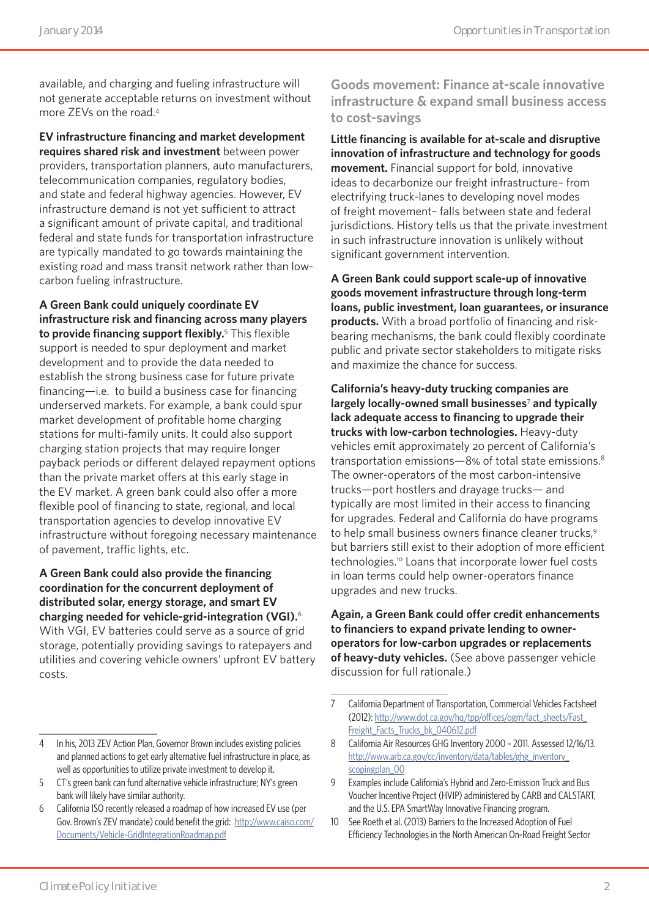available, and charging and fueling infrastructure will not generate acceptable returns on investment without more ZEVs on the road.4

**EV infrastructure financing and market development requires shared risk and investment** between power providers, transportation planners, auto manufacturers, telecommunication companies, regulatory bodies, and state and federal highway agencies. However, EV infrastructure demand is not yet sufficient to attract a significant amount of private capital, and traditional federal and state funds for transportation infrastructure are typically mandated to go towards maintaining the existing road and mass transit network rather than lowcarbon fueling infrastructure.

**A Green Bank could uniquely coordinate EV infrastructure risk and financing across many players to provide financing support flexibly.**<sup>5</sup> This flexible support is needed to spur deployment and market development and to provide the data needed to establish the strong business case for future private financing—i.e. to build a business case for financing underserved markets. For example, a bank could spur market development of profitable home charging stations for multi-family units. It could also support charging station projects that may require longer payback periods or different delayed repayment options than the private market offers at this early stage in the EV market. A green bank could also offer a more flexible pool of financing to state, regional, and local transportation agencies to develop innovative EV infrastructure without foregoing necessary maintenance of pavement, traffic lights, etc.

**A Green Bank could also provide the financing coordination for the concurrent deployment of distributed solar, energy storage, and smart EV charging needed for vehicle-grid-integration (VGI).**<sup>6</sup> With VGI, EV batteries could serve as a source of grid storage, potentially providing savings to ratepayers and utilities and covering vehicle owners' upfront EV battery costs.

**Goods movement: Finance at-scale innovative infrastructure & expand small business access to cost-savings**

**Little financing is available for at-scale and disruptive innovation of infrastructure and technology for goods movement.** Financial support for bold, innovative ideas to decarbonize our freight infrastructure– from electrifying truck-lanes to developing novel modes of freight movement– falls between state and federal jurisdictions. History tells us that the private investment in such infrastructure innovation is unlikely without significant government intervention.

**A Green Bank could support scale-up of innovative goods movement infrastructure through long-term loans, public investment, loan guarantees, or insurance products.** With a broad portfolio of financing and riskbearing mechanisms, the bank could flexibly coordinate public and private sector stakeholders to mitigate risks and maximize the chance for success.

**California's heavy-duty trucking companies are largely locally-owned small businesses**<sup>7</sup>  **and typically lack adequate access to financing to upgrade their trucks with low-carbon technologies.** Heavy-duty vehicles emit approximately 20 percent of California's transportation emissions—8% of total state emissions.8 The owner-operators of the most carbon-intensive trucks—port hostlers and drayage trucks— and typically are most limited in their access to financing for upgrades. Federal and California do have programs to help small business owners finance cleaner trucks.<sup>9</sup> but barriers still exist to their adoption of more efficient technologies.10 Loans that incorporate lower fuel costs in loan terms could help owner-operators finance upgrades and new trucks.

**Again, a Green Bank could offer credit enhancements to financiers to expand private lending to owneroperators for low-carbon upgrades or replacements of heavy-duty vehicles.** (See above passenger vehicle discussion for full rationale.)

<sup>7</sup> California Department of Transportation, Commercial Vehicles Factsheet (2012): [http://www.dot.ca.gov/hq/tpp/offices/ogm/fact\\_sheets/Fast\\_](http://www.dot.ca.gov/hq/tpp/offices/ogm/fact_sheets/Fast_Freight_Facts_Trucks_bk_040612.pdf) [Freight\\_Facts\\_Trucks\\_bk\\_040612.pdf](http://www.dot.ca.gov/hq/tpp/offices/ogm/fact_sheets/Fast_Freight_Facts_Trucks_bk_040612.pdf)

<sup>8</sup> California Air Resources GHG Inventory 2000 – 2011. Assessed 12/16/13. http://www.arb.ca.gov/cc/inventory/data/tables/ghg\_inventory [scopingplan\\_00](http://www.arb.ca.gov/cc/inventory/data/tables/ghg_inventory_scopingplan_00-)

<sup>9</sup> Examples include California's Hybrid and Zero-Emission Truck and Bus Voucher Incentive Project (HVIP) administered by CARB and CALSTART, and the U.S. EPA SmartWay Innovative Financing program.

<sup>10</sup> See Roeth et al. (2013) Barriers to the Increased Adoption of Fuel Efficiency Technologies in the North American On-Road Freight Sector

<sup>4</sup> In his, 2013 ZEV Action Plan, Governor Brown includes existing policies and planned actions to get early alternative fuel infrastructure in place, as well as opportunities to utilize private investment to develop it.

<sup>5</sup> CT's green bank can fund alternative vehicle infrastructure; NY's green bank will likely have similar authority.

<sup>6</sup> California ISO recently released a roadmap of how increased EV use (per Gov. Brown's ZEV mandate) could benefit the grid: [http://www.caiso.com/](http://www.caiso.com/Documents/Vehicle-GridIntegrationRoadmap.pdf) [Documents/Vehicle-GridIntegrationRoadmap.pdf](http://www.caiso.com/Documents/Vehicle-GridIntegrationRoadmap.pdf)